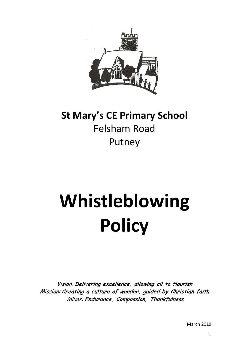

# **St Mary's CE Primary School** Felsham Road Putney

# **Whistleblowing Policy**

Vision: **Delivering excellence, allowing all to flourish** Mission: **Creating a culture of wonder, guided by Christian faith** Values: **Endurance, Compassion, Thankfulness**

March 2019

1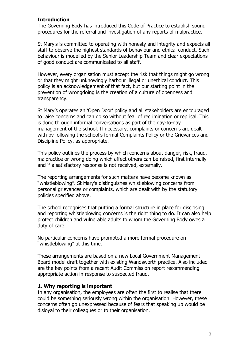#### **Introduction**

The Governing Body has introduced this Code of Practice to establish sound procedures for the referral and investigation of any reports of malpractice.

St Mary's is committed to operating with honesty and integrity and expects all staff to observe the highest standards of behaviour and ethical conduct. Such behaviour is modelled by the Senior Leadership Team and clear expectations of good conduct are communicated to all staff.

However, every organisation must accept the risk that things might go wrong or that they might unknowingly harbour illegal or unethical conduct. This policy is an acknowledgement of that fact, but our starting point in the prevention of wrongdoing is the creation of a culture of openness and transparency.

St Mary's operates an 'Open Door' policy and all stakeholders are encouraged to raise concerns and can do so without fear of recrimination or reprisal. This is done through informal conversations as part of the day-to-day management of the school. If necessary, complaints or concerns are dealt with by following the school's formal Complaints Policy or the Grievances and Discipline Policy, as appropriate.

This policy outlines the process by which concerns about danger, risk, fraud, malpractice or wrong doing which affect others can be raised, first internally and if a satisfactory response is not received, externally.

The reporting arrangements for such matters have become known as "whistleblowing". St Mary's distinguishes whistleblowing concerns from personal grievances or complaints, which are dealt with by the statutory policies specified above.

The school recognises that putting a formal structure in place for disclosing and reporting whistleblowing concerns is the right thing to do. It can also help protect children and vulnerable adults to whom the Governing Body owes a duty of care.

No particular concerns have prompted a more formal procedure on "whistleblowing" at this time.

These arrangements are based on a new Local Government Management Board model draft together with existing Wandsworth practice. Also included are the key points from a recent Audit Commission report recommending appropriate action in response to suspected fraud.

#### **1. Why reporting is important**

In any organisation, the employees are often the first to realise that there could be something seriously wrong within the organisation. However, these concerns often go unexpressed because of fears that speaking up would be disloyal to their colleagues or to their organisation.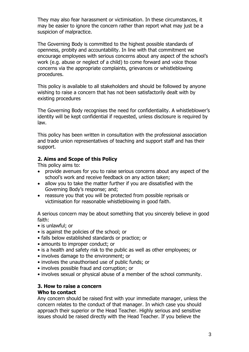They may also fear harassment or victimisation. In these circumstances, it may be easier to ignore the concern rather than report what may just be a suspicion of malpractice.

The Governing Body is committed to the highest possible standards of openness, probity and accountability. In line with that commitment we encourage employees with serious concerns about any aspect of the school's work (e.g. abuse or neglect of a child) to come forward and voice those concerns via the appropriate complaints, grievances or whistleblowing procedures.

This policy is available to all stakeholders and should be followed by anyone wishing to raise a concern that has not been satisfactorily dealt with by existing procedures

The Governing Body recognises the need for confidentiality. A whistleblower's identity will be kept confidential if requested, unless disclosure is required by law.

This policy has been written in consultation with the professional association and trade union representatives of teaching and support staff and has their support.

#### **2. Aims and Scope of this Policy**

This policy aims to:

- provide avenues for you to raise serious concerns about any aspect of the school's work and receive feedback on any action taken;
- allow you to take the matter further if you are dissatisfied with the Governing Body's response; and;
- reassure you that you will be protected from possible reprisals or victimisation for reasonable whistleblowing in good faith.

A serious concern may be about something that you sincerely believe in good faith:

- is unlawful; or
- is against the policies of the school; or
- falls below established standards or practice; or
- amounts to improper conduct; or
- is a health and safety risk to the public as well as other employees; or
- involves damage to the environment; or
- involves the unauthorised use of public funds; or
- involves possible fraud and corruption; or
- involves sexual or physical abuse of a member of the school community.

#### **3. How to raise a concern Who to contact**

Any concern should be raised first with your immediate manager, unless the concern relates to the conduct of that manager. In which case you should approach their superior or the Head Teacher. Highly serious and sensitive issues should be raised directly with the Head Teacher. If you believe the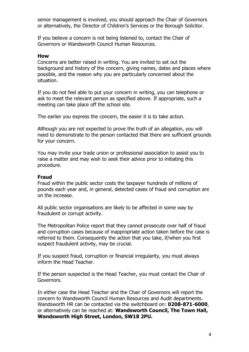senior management is involved, you should approach the Chair of Governors or alternatively, the Director of Children's Services or the Borough Solicitor.

If you believe a concern is not being listened to, contact the Chair of Governors or Wandsworth Council Human Resources.

#### **How**

Concerns are better raised in writing. You are invited to set out the background and history of the concern, giving names, dates and places where possible, and the reason why you are particularly concerned about the situation.

If you do not feel able to put your concern in writing, you can telephone or ask to meet the relevant person as specified above. If appropriate, such a meeting can take place off the school site.

The earlier you express the concern, the easier it is to take action.

Although you are not expected to prove the truth of an allegation, you will need to demonstrate to the person contacted that there are sufficient grounds for your concern.

You may invite your trade union or professional association to assist you to raise a matter and may wish to seek their advice prior to initiating this procedure.

#### **Fraud**

Fraud within the public sector costs the taxpayer hundreds of millions of pounds each year and, in general, detected cases of fraud and corruption are on the increase.

All public sector organisations are likely to be affected in some way by fraudulent or corrupt activity.

The Metropolitan Police report that they cannot prosecute over half of fraud and corruption cases because of inappropriate action taken before the case is referred to them. Consequently the action that you take, if/when you first suspect fraudulent activity, may be crucial.

If you suspect fraud, corruption or financial irregularity, you must always inform the Head Teacher.

If the person suspected is the Head Teacher, you must contact the Chair of Governors.

In either case the Head Teacher and the Chair of Governors will report the concern to Wandsworth Council Human Resources and Audit departments. Wandsworth HR can be contacted via the switchboard on: **0208-871-6000**, or alternatively can be reached at: **Wandsworth Council, The Town Hall, Wandsworth High Street, London, SW18 2PU.**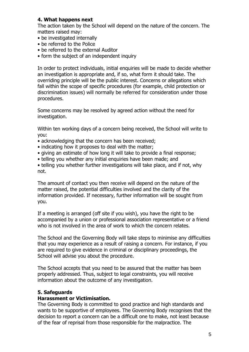#### **4. What happens next**

The action taken by the School will depend on the nature of the concern. The matters raised may:

- be investigated internally
- be referred to the Police
- be referred to the external Auditor
- form the subject of an independent inquiry

In order to protect individuals, initial enquiries will be made to decide whether an investigation is appropriate and, if so, what form it should take. The overriding principle will be the public interest. Concerns or allegations which fall within the scope of specific procedures (for example, child protection or discrimination issues) will normally be referred for consideration under those procedures.

Some concerns may be resolved by agreed action without the need for investigation.

Within ten working days of a concern being received, the School will write to you:

- acknowledging that the concern has been received;
- indicating how it proposes to deal with the matter;
- giving an estimate of how long it will take to provide a final response;
- telling you whether any initial enquiries have been made; and

• telling you whether further investigations will take place, and if not, why not.

The amount of contact you then receive will depend on the nature of the matter raised, the potential difficulties involved and the clarity of the information provided. If necessary, further information will be sought from you.

If a meeting is arranged (off site if you wish), you have the right to be accompanied by a union or professional association representative or a friend who is not involved in the area of work to which the concern relates.

The School and the Governing Body will take steps to minimise any difficulties that you may experience as a result of raising a concern. For instance, if you are required to give evidence in criminal or disciplinary proceedings, the School will advise you about the procedure.

The School accepts that you need to be assured that the matter has been properly addressed. Thus, subject to legal constraints, you will receive information about the outcome of any investigation.

#### **5. Safeguards**

#### **Harassment or Victimisation.**

The Governing Body is committed to good practice and high standards and wants to be supportive of employees. The Governing Body recognises that the decision to report a concern can be a difficult one to make, not least because of the fear of reprisal from those responsible for the malpractice. The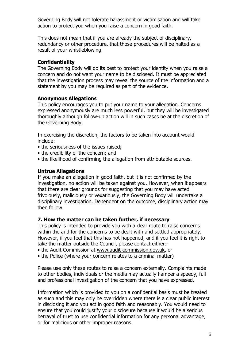Governing Body will not tolerate harassment or victimisation and will take action to protect you when you raise a concern in good faith.

This does not mean that if you are already the subject of disciplinary, redundancy or other procedure, that those procedures will be halted as a result of your whistleblowing.

#### **Confidentiality**

The Governing Body will do its best to protect your identity when you raise a concern and do not want your name to be disclosed. It must be appreciated that the investigation process may reveal the source of the information and a statement by you may be required as part of the evidence.

#### **Anonymous Allegations**

This policy encourages you to put your name to your allegation. Concerns expressed anonymously are much less powerful, but they will be investigated thoroughly although follow-up action will in such cases be at the discretion of the Governing Body.

In exercising the discretion, the factors to be taken into account would include:

- the seriousness of the issues raised;
- the credibility of the concern; and
- the likelihood of confirming the allegation from attributable sources.

#### **Untrue Allegations**

If you make an allegation in good faith, but it is not confirmed by the investigation, no action will be taken against you. However, when it appears that there are clear grounds for suggesting that you may have acted frivolously, maliciously or vexatiously, the Governing Body will undertake a disciplinary investigation. Dependent on the outcome, disciplinary action may then follow.

#### **7. How the matter can be taken further, if necessary**

This policy is intended to provide you with a clear route to raise concerns within the and for the concerns to be dealt with and settled appropriately. However, if you feel that this has not happened, and if you feel it is right to take the matter outside the Council, please contact either:-

- the Audit Commission at [www.audit-commission.gov.uk,](http://www.audit-commission.gov.uk/) or
- the Police (where your concern relates to a criminal matter)

Please use only these routes to raise a concern externally. Complaints made to other bodies, individuals or the media may actually hamper a speedy, full and professional investigation of the concern that you have expressed.

Information which is provided to you on a confidential basis must be treated as such and this may only be overridden where there is a clear public interest in disclosing it and you act in good faith and reasonably. You would need to ensure that you could justify your disclosure because it would be a serious betrayal of trust to use confidential information for any personal advantage, or for malicious or other improper reasons.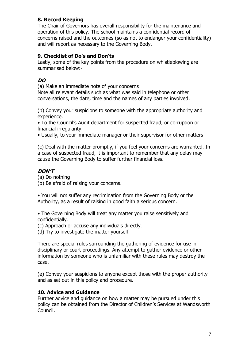# **8. Record Keeping**

The Chair of Governors has overall responsibility for the maintenance and operation of this policy. The school maintains a confidential record of concerns raised and the outcomes (so as not to endanger your confidentiality) and will report as necessary to the Governing Body.

# **9. Checklist of Do's and Don'ts**

Lastly, some of the key points from the procedure on whistleblowing are summarised below:-

# **DO**

(a) Make an immediate note of your concerns

Note all relevant details such as what was said in telephone or other conversations, the date, time and the names of any parties involved.

(b) Convey your suspicions to someone with the appropriate authority and experience.

• To the Council's Audit department for suspected fraud, or corruption or financial irregularity.

• Usually, to your immediate manager or their supervisor for other matters

(c) Deal with the matter promptly, if you feel your concerns are warranted. In a case of suspected fraud, it is important to remember that any delay may cause the Governing Body to suffer further financial loss.

# **DON'T**

(a) Do nothing

(b) Be afraid of raising your concerns.

• You will not suffer any recrimination from the Governing Body or the Authority, as a result of raising in good faith a serious concern.

• The Governing Body will treat any matter you raise sensitively and confidentially.

(c) Approach or accuse any individuals directly.

(d) Try to investigate the matter yourself.

There are special rules surrounding the gathering of evidence for use in disciplinary or court proceedings. Any attempt to gather evidence or other information by someone who is unfamiliar with these rules may destroy the case.

(e) Convey your suspicions to anyone except those with the proper authority and as set out in this policy and procedure.

## **10. Advice and Guidance**

Further advice and guidance on how a matter may be pursued under this policy can be obtained from the Director of Children's Services at Wandsworth Council.